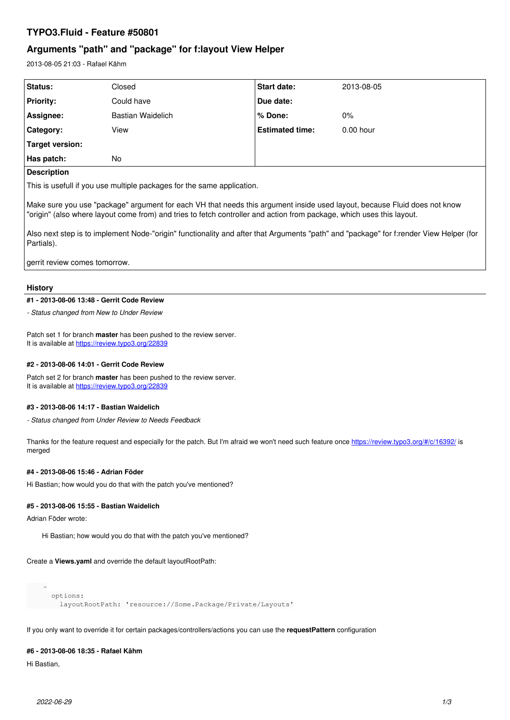# **TYPO3.Fluid - Feature #50801**

## **Arguments "path" and "package" for f:layout View Helper**

2013-08-05 21:03 - Rafael Kähm

| Status:             | Closed                   | <b>Start date:</b>     | 2013-08-05  |
|---------------------|--------------------------|------------------------|-------------|
| <b>Priority:</b>    | Could have               | Due date:              |             |
| Assignee:           | <b>Bastian Waidelich</b> | % Done:                | $0\%$       |
| <b>Category:</b>    | View                     | <b>Estimated time:</b> | $0.00$ hour |
| Target version:     |                          |                        |             |
| Has patch:          | <b>No</b>                |                        |             |
| <b>Dogcylintics</b> |                          |                        |             |

### **Description**

This is usefull if you use multiple packages for the same application.

Make sure you use "package" argument for each VH that needs this argument inside used layout, because Fluid does not know "origin" (also where layout come from) and tries to fetch controller and action from package, which uses this layout.

Also next step is to implement Node-"origin" functionality and after that Arguments "path" and "package" for f:render View Helper (for Partials).

gerrit review comes tomorrow.

#### **History**

### **#1 - 2013-08-06 13:48 - Gerrit Code Review**

*- Status changed from New to Under Review*

Patch set 1 for branch **master** has been pushed to the review server. It is available at <https://review.typo3.org/22839>

### **#2 - 2013-08-06 14:01 - Gerrit Code Review**

Patch set 2 for branch **master** has been pushed to the review server. It is available at <https://review.typo3.org/22839>

#### **#3 - 2013-08-06 14:17 - Bastian Waidelich**

*- Status changed from Under Review to Needs Feedback*

Thanks for the feature request and especially for the patch. But I'm afraid we won't need such feature once<https://review.typo3.org/#/c/16392/>is merged

## **#4 - 2013-08-06 15:46 - Adrian Föder**

Hi Bastian; how would you do that with the patch you've mentioned?

#### **#5 - 2013-08-06 15:55 - Bastian Waidelich**

Adrian Föder wrote:

Hi Bastian; how would you do that with the patch you've mentioned?

Create a **Views.yaml** and override the default layoutRootPath:

 - options: layoutRootPath: 'resource://Some.Package/Private/Layouts'

If you only want to override it for certain packages/controllers/actions you can use the **requestPattern** configuration

### **#6 - 2013-08-06 18:35 - Rafael Kähm**

Hi Bastian,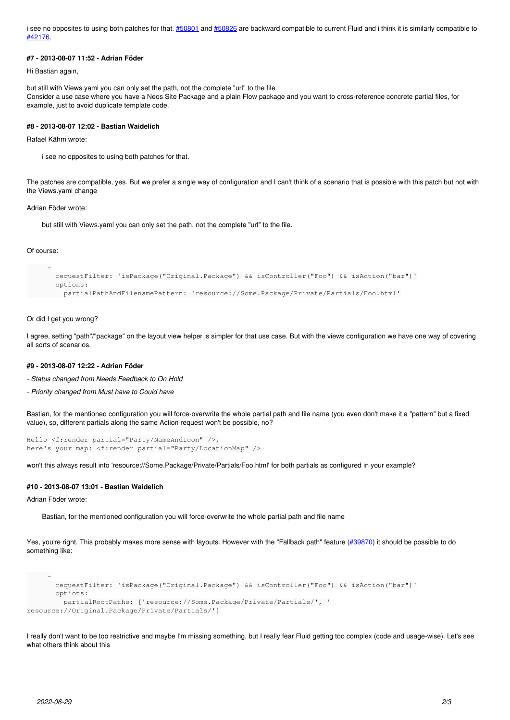i see no opposites to using both patches for that. [#50801](https://forge.typo3.org/issues/50801) and [#50826](https://forge.typo3.org/issues/50826) are backward compatible to current Fluid and i think it is similarly compatible to [#42176.](https://forge.typo3.org/issues/42176)

#### **#7 - 2013-08-07 11:52 - Adrian Föder**

Hi Bastian again,

but still with Views.yaml you can only set the path, not the complete "url" to the file. Consider a use case where you have a Neos Site Package and a plain Flow package and you want to cross-reference concrete partial files, for example, just to avoid duplicate template code.

#### **#8 - 2013-08-07 12:02 - Bastian Waidelich**

Rafael Kähm wrote:

i see no opposites to using both patches for that.

The patches are compatible, yes. But we prefer a single way of configuration and I can't think of a scenario that is possible with this patch but not with the Views.yaml change

Adrian Föder wrote:

but still with Views.yaml you can only set the path, not the complete "url" to the file.

Of course:

```
     -
              requestFilter: 'isPackage("Original.Package") && isController("Foo") && isAction("bar")'
              options:
                  partialPathAndFilenamePattern: 'resource://Some.Package/Private/Partials/Foo.html'
```
Or did I get you wrong?

I agree, setting "path"/"package" on the layout view helper is simpler for that use case. But with the views configuration we have one way of covering all sorts of scenarios.

#### **#9 - 2013-08-07 12:22 - Adrian Föder**

*- Status changed from Needs Feedback to On Hold*

*- Priority changed from Must have to Could have*

Bastian, for the mentioned configuration you will force-overwrite the whole partial path and file name (you even don't make it a "pattern" but a fixed value), so, different partials along the same Action request won't be possible, no?

```
Hello <f:render partial="Party/NameAndIcon" />,
here's your map: <f:render partial="Party/LocationMap" />
```
won't this always result into 'resource://Some.Package/Private/Partials/Foo.html' for both partials as configured in your example?

#### **#10 - 2013-08-07 13:01 - Bastian Waidelich**

Adrian Föder wrote:

-

Bastian, for the mentioned configuration you will force-overwrite the whole partial path and file name

Yes, you're right. This probably makes more sense with layouts. However with the "Fallback path" feature [\(#39870](https://forge.typo3.org/issues/39870)) it should be possible to do something like:

```
       requestFilter: 'isPackage("Original.Package") && isController("Foo") && isAction("bar")'
              options:
                  partialRootPaths: ['resource://Some.Package/Private/Partials/', '
resource://Original.Package/Private/Partials/']
```
I really don't want to be too restrictive and maybe I'm missing something, but I really fear Fluid getting too complex (code and usage-wise). Let's see what others think about this